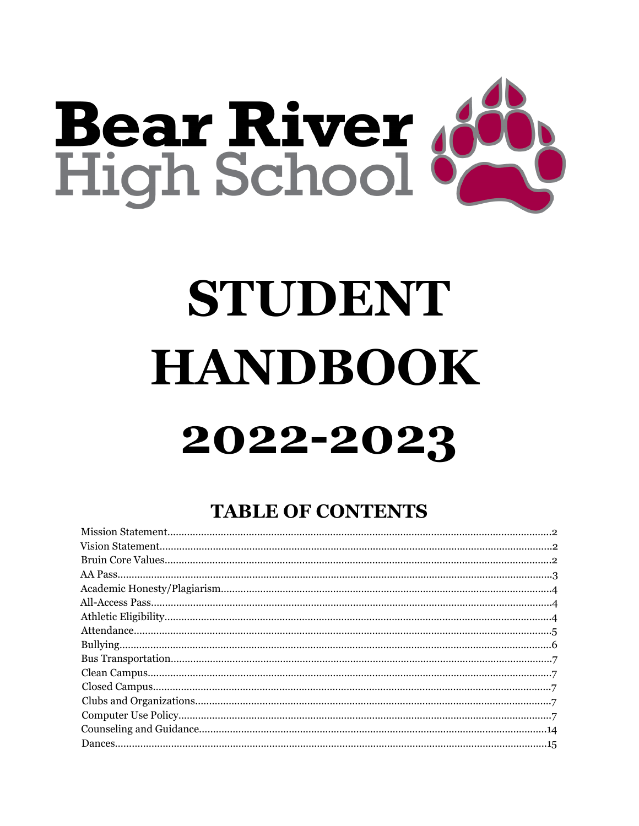

# STUDENT **HANDBOOK** 2022-2023

# **TABLE OF CONTENTS**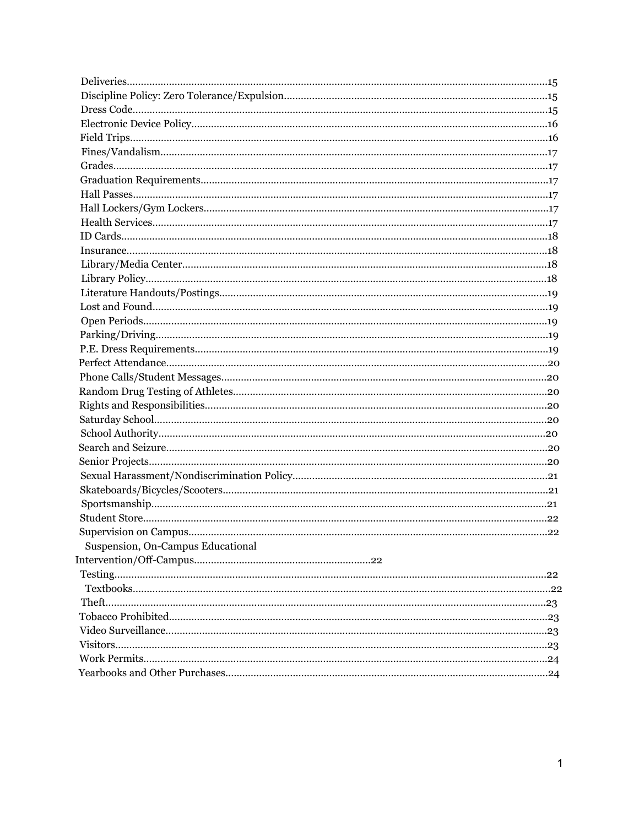| Suspension, On-Campus Educational |  |
|-----------------------------------|--|
|                                   |  |
|                                   |  |
|                                   |  |
|                                   |  |
|                                   |  |
|                                   |  |
|                                   |  |
|                                   |  |
|                                   |  |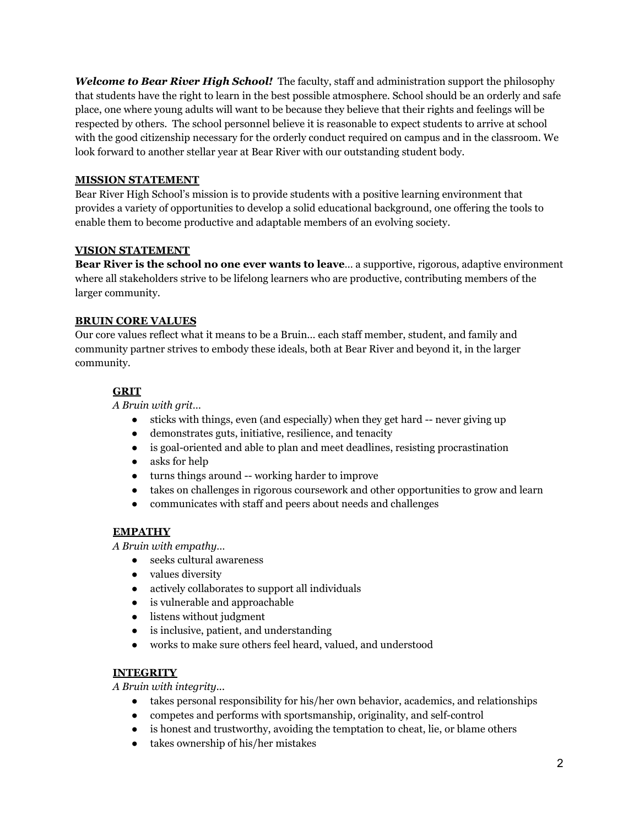*Welcome to Bear River High School!* The faculty, staff and administration support the philosophy that students have the right to learn in the best possible atmosphere. School should be an orderly and safe place, one where young adults will want to be because they believe that their rights and feelings will be respected by others. The school personnel believe it is reasonable to expect students to arrive at school with the good citizenship necessary for the orderly conduct required on campus and in the classroom. We look forward to another stellar year at Bear River with our outstanding student body.

#### **MISSION STATEMENT**

Bear River High School's mission is to provide students with a positive learning environment that provides a variety of opportunities to develop a solid educational background, one offering the tools to enable them to become productive and adaptable members of an evolving society.

#### **VISION STATEMENT**

**Bear River is the school no one ever wants to leave**… a supportive, rigorous, adaptive environment where all stakeholders strive to be lifelong learners who are productive, contributing members of the larger community.

# **BRUIN CORE VALUES**

Our core values reflect what it means to be a Bruin… each staff member, student, and family and community partner strives to embody these ideals, both at Bear River and beyond it, in the larger community.

# **GRIT**

*A Bruin with grit…*

- sticks with things, even (and especially) when they get hard -- never giving up
- demonstrates guts, initiative, resilience, and tenacity
- is goal-oriented and able to plan and meet deadlines, resisting procrastination
- asks for help
- turns things around -- working harder to improve
- takes on challenges in rigorous coursework and other opportunities to grow and learn
- communicates with staff and peers about needs and challenges

# **EMPATHY**

*A Bruin with empathy…*

- seeks cultural awareness
- values diversity
- actively collaborates to support all individuals
- is vulnerable and approachable
- listens without judgment
- is inclusive, patient, and understanding
- works to make sure others feel heard, valued, and understood

#### **INTEGRITY**

*A Bruin with integrity...*

- takes personal responsibility for his/her own behavior, academics, and relationships
- competes and performs with sportsmanship, originality, and self-control
- is honest and trustworthy, avoiding the temptation to cheat, lie, or blame others
- takes ownership of his/her mistakes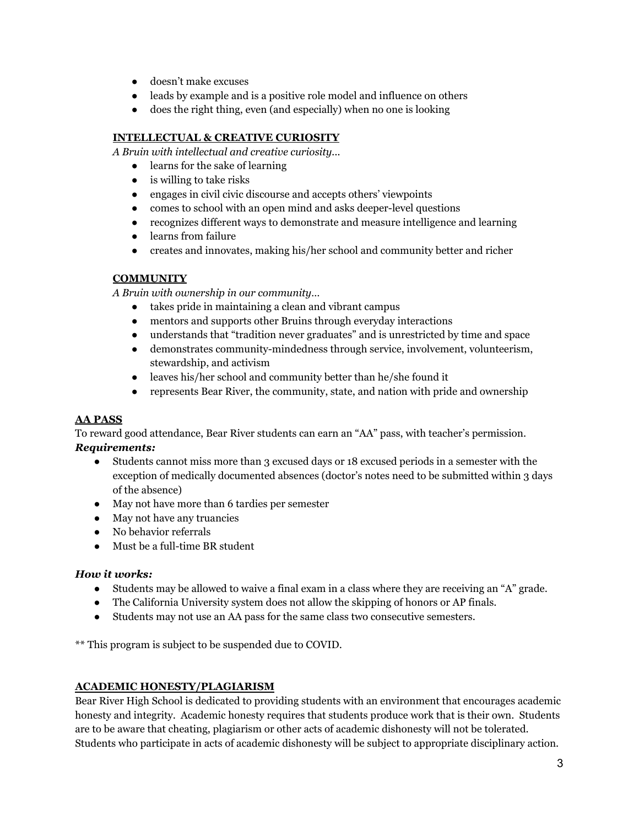- doesn't make excuses
- leads by example and is a positive role model and influence on others
- does the right thing, even (and especially) when no one is looking

# **INTELLECTUAL & CREATIVE CURIOSITY**

*A Bruin with intellectual and creative curiosity...*

- learns for the sake of learning
- $\bullet$  is willing to take risks
- engages in civil civic discourse and accepts others' viewpoints
- comes to school with an open mind and asks deeper-level questions
- recognizes different ways to demonstrate and measure intelligence and learning
- learns from failure
- creates and innovates, making his/her school and community better and richer

# **COMMUNITY**

*A Bruin with ownership in our community…*

- takes pride in maintaining a clean and vibrant campus
- mentors and supports other Bruins through everyday interactions
- understands that "tradition never graduates" and is unrestricted by time and space
- demonstrates community-mindedness through service, involvement, volunteerism, stewardship, and activism
- leaves his/her school and community better than he/she found it
- represents Bear River, the community, state, and nation with pride and ownership

# **AA PASS**

To reward good attendance, Bear River students can earn an "AA" pass, with teacher's permission. *Requirements:*

- Students cannot miss more than 3 excused days or 18 excused periods in a semester with the exception of medically documented absences (doctor's notes need to be submitted within 3 days of the absence)
- May not have more than 6 tardies per semester
- May not have any truancies
- No behavior referrals
- Must be a full-time BR student

#### *How it works:*

- Students may be allowed to waive a final exam in a class where they are receiving an "A" grade.
- The California University system does not allow the skipping of honors or AP finals.
- Students may not use an AA pass for the same class two consecutive semesters.

\*\* This program is subject to be suspended due to COVID.

#### **ACADEMIC HONESTY/PLAGIARISM**

Bear River High School is dedicated to providing students with an environment that encourages academic honesty and integrity. Academic honesty requires that students produce work that is their own. Students are to be aware that cheating, plagiarism or other acts of academic dishonesty will not be tolerated. Students who participate in acts of academic dishonesty will be subject to appropriate disciplinary action.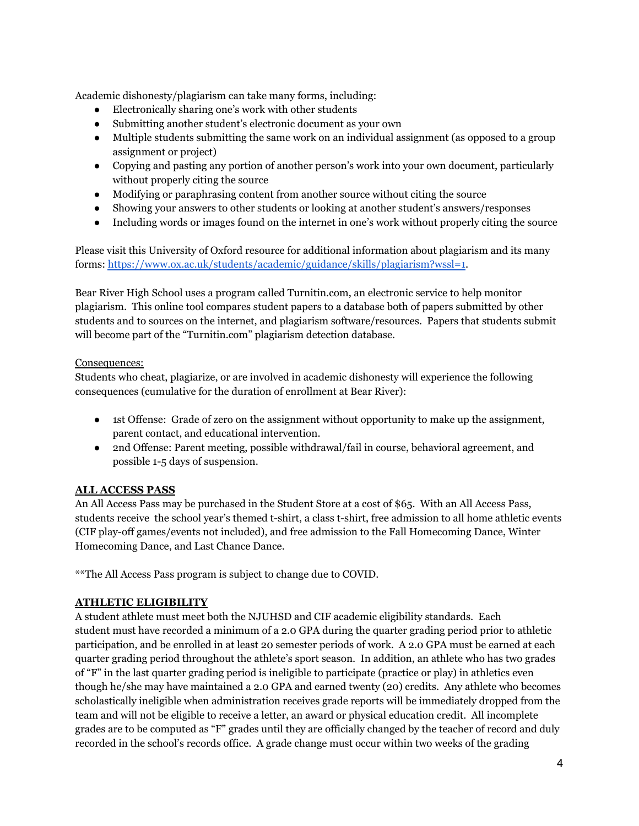Academic dishonesty/plagiarism can take many forms, including:

- Electronically sharing one's work with other students
- Submitting another student's electronic document as your own
- Multiple students submitting the same work on an individual assignment (as opposed to a group assignment or project)
- Copying and pasting any portion of another person's work into your own document, particularly without properly citing the source
- Modifying or paraphrasing content from another source without citing the source
- Showing your answers to other students or looking at another student's answers/responses
- Including words or images found on the internet in one's work without properly citing the source

Please visit this University of Oxford resource for additional information about plagiarism and its many forms: <https://www.ox.ac.uk/students/academic/guidance/skills/plagiarism?wssl=1>.

Bear River High School uses a program called Turnitin.com, an electronic service to help monitor plagiarism. This online tool compares student papers to a database both of papers submitted by other students and to sources on the internet, and plagiarism software/resources. Papers that students submit will become part of the "Turnitin.com" plagiarism detection database.

#### Consequences:

Students who cheat, plagiarize, or are involved in academic dishonesty will experience the following consequences (cumulative for the duration of enrollment at Bear River):

- 1st Offense: Grade of zero on the assignment without opportunity to make up the assignment, parent contact, and educational intervention.
- 2nd Offense: Parent meeting, possible withdrawal/fail in course, behavioral agreement, and possible 1-5 days of suspension.

# **ALL ACCESS PASS**

An All Access Pass may be purchased in the Student Store at a cost of \$65. With an All Access Pass, students receive the school year's themed t-shirt, a class t-shirt, free admission to all home athletic events (CIF play-off games/events not included), and free admission to the Fall Homecoming Dance, Winter Homecoming Dance, and Last Chance Dance.

\*\*The All Access Pass program is subject to change due to COVID.

#### **ATHLETIC ELIGIBILITY**

A student athlete must meet both the NJUHSD and CIF academic eligibility standards. Each student must have recorded a minimum of a 2.0 GPA during the quarter grading period prior to athletic participation, and be enrolled in at least 20 semester periods of work. A 2.0 GPA must be earned at each quarter grading period throughout the athlete's sport season. In addition, an athlete who has two grades of "F" in the last quarter grading period is ineligible to participate (practice or play) in athletics even though he/she may have maintained a 2.0 GPA and earned twenty (20) credits. Any athlete who becomes scholastically ineligible when administration receives grade reports will be immediately dropped from the team and will not be eligible to receive a letter, an award or physical education credit. All incomplete grades are to be computed as "F" grades until they are officially changed by the teacher of record and duly recorded in the school's records office. A grade change must occur within two weeks of the grading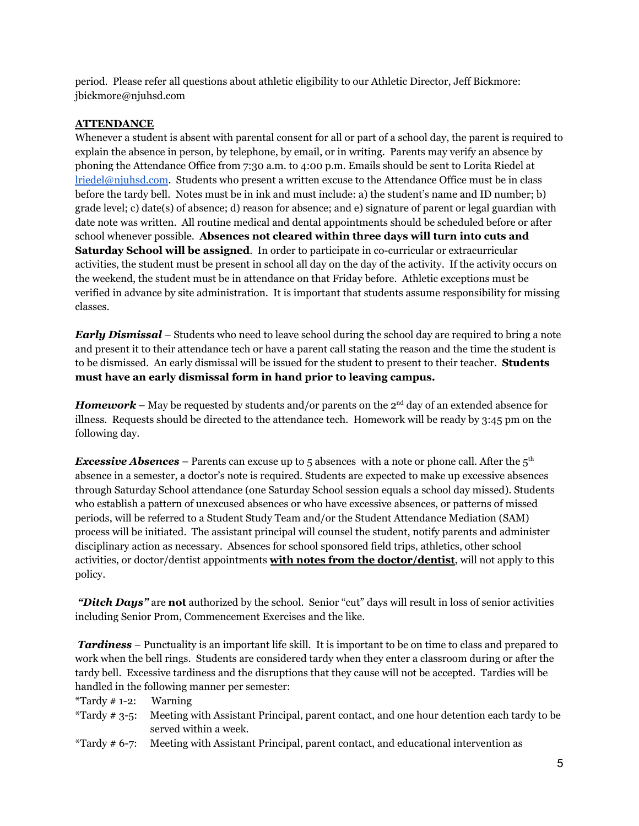period. Please refer all questions about athletic eligibility to our Athletic Director, Jeff Bickmore: jbickmore@njuhsd.com

#### **ATTENDANCE**

Whenever a student is absent with parental consent for all or part of a school day, the parent is required to explain the absence in person, by telephone, by email, or in writing. Parents may verify an absence by phoning the Attendance Office from 7:30 a.m. to 4:00 p.m. Emails should be sent to Lorita Riedel at [lriedel@njuhsd.com](mailto:lriedel@njuhsd.com). Students who present a written excuse to the Attendance Office must be in class before the tardy bell. Notes must be in ink and must include: a) the student's name and ID number; b) grade level; c) date(s) of absence; d) reason for absence; and e) signature of parent or legal guardian with date note was written. All routine medical and dental appointments should be scheduled before or after school whenever possible. **Absences not cleared within three days will turn into cuts and Saturday School will be assigned**. In order to participate in co-curricular or extracurricular activities, the student must be present in school all day on the day of the activity. If the activity occurs on the weekend, the student must be in attendance on that Friday before. Athletic exceptions must be verified in advance by site administration. It is important that students assume responsibility for missing classes.

*Early Dismissal* – Students who need to leave school during the school day are required to bring a note and present it to their attendance tech or have a parent call stating the reason and the time the student is to be dismissed. An early dismissal will be issued for the student to present to their teacher. **Students must have an early dismissal form in hand prior to leaving campus.**

*Homework* – May be requested by students and/or parents on the  $2<sup>nd</sup>$  day of an extended absence for illness. Requests should be directed to the attendance tech. Homework will be ready by 3:45 pm on the following day.

*Excessive Absences* – Parents can excuse up to 5 absences with a note or phone call. After the 5<sup>th</sup> absence in a semester, a doctor's note is required. Students are expected to make up excessive absences through Saturday School attendance (one Saturday School session equals a school day missed). Students who establish a pattern of unexcused absences or who have excessive absences, or patterns of missed periods, will be referred to a Student Study Team and/or the Student Attendance Mediation (SAM) process will be initiated. The assistant principal will counsel the student, notify parents and administer disciplinary action as necessary. Absences for school sponsored field trips, athletics, other school activities, or doctor/dentist appointments **with notes from the doctor/dentist**, will not apply to this policy.

*"Ditch Days"* are **not** authorized by the school. Senior "cut" days will result in loss of senior activities including Senior Prom, Commencement Exercises and the like.

*Tardiness* – Punctuality is an important life skill. It is important to be on time to class and prepared to work when the bell rings. Students are considered tardy when they enter a classroom during or after the tardy bell. Excessive tardiness and the disruptions that they cause will not be accepted. Tardies will be handled in the following manner per semester:

\*Tardy  $\#$  1-2: Warning

- \*Tardy # 3-5: Meeting with Assistant Principal, parent contact, and one hour detention each tardy to be served within a week.
- \*Tardy # 6-7: Meeting with Assistant Principal, parent contact, and educational intervention as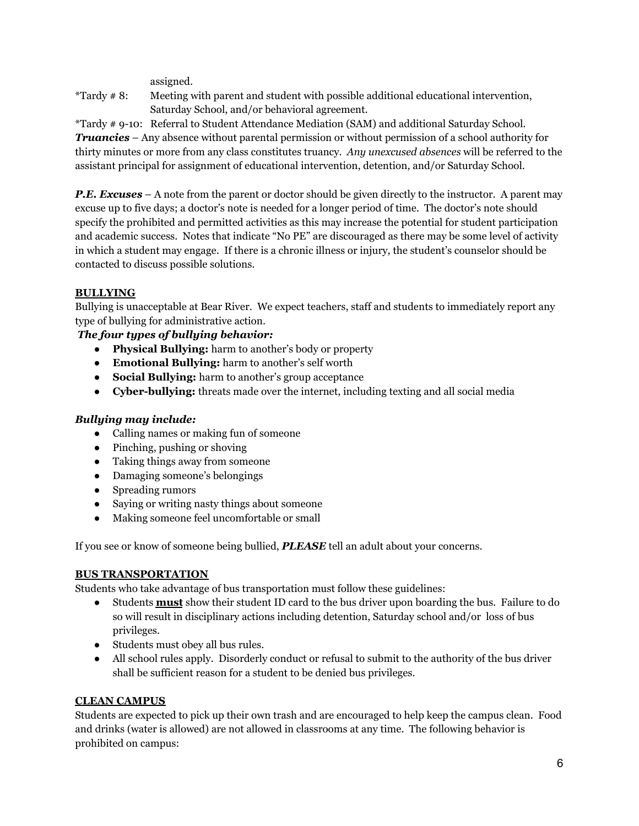assigned.

\*Tardy # 8: Meeting with parent and student with possible additional educational intervention, Saturday School, and/or behavioral agreement.

\*Tardy # 9-10: Referral to Student Attendance Mediation (SAM) and additional Saturday School. *Truancies* – Any absence without parental permission or without permission of a school authority for thirty minutes or more from any class constitutes truancy. *Any unexcused absences* will be referred to the assistant principal for assignment of educational intervention, detention, and/or Saturday School.

*P.E. Excuses* – A note from the parent or doctor should be given directly to the instructor. A parent may excuse up to five days; a doctor's note is needed for a longer period of time. The doctor's note should specify the prohibited and permitted activities as this may increase the potential for student participation and academic success. Notes that indicate "No PE" are discouraged as there may be some level of activity in which a student may engage. If there is a chronic illness or injury, the student's counselor should be contacted to discuss possible solutions.

# **BULLYING**

Bullying is unacceptable at Bear River. We expect teachers, staff and students to immediately report any type of bullying for administrative action.

# *The four types of bullying behavior:*

- **Physical Bullying:** harm to another's body or property
- **Emotional Bullying:** harm to another's self worth
- **Social Bullying:** harm to another's group acceptance
- **Cyber-bullying:** threats made over the internet, including texting and all social media

# *Bullying may include:*

- Calling names or making fun of someone
- Pinching, pushing or shoving
- Taking things away from someone
- Damaging someone's belongings
- Spreading rumors
- Saying or writing nasty things about someone
- Making someone feel uncomfortable or small

If you see or know of someone being bullied, *PLEASE* tell an adult about your concerns.

# **BUS TRANSPORTATION**

Students who take advantage of bus transportation must follow these guidelines:

- Students **must** show their student ID card to the bus driver upon boarding the bus. Failure to do so will result in disciplinary actions including detention, Saturday school and/or loss of bus privileges.
- Students must obey all bus rules.
- All school rules apply. Disorderly conduct or refusal to submit to the authority of the bus driver shall be sufficient reason for a student to be denied bus privileges.

# **CLEAN CAMPUS**

Students are expected to pick up their own trash and are encouraged to help keep the campus clean. Food and drinks (water is allowed) are not allowed in classrooms at any time. The following behavior is prohibited on campus: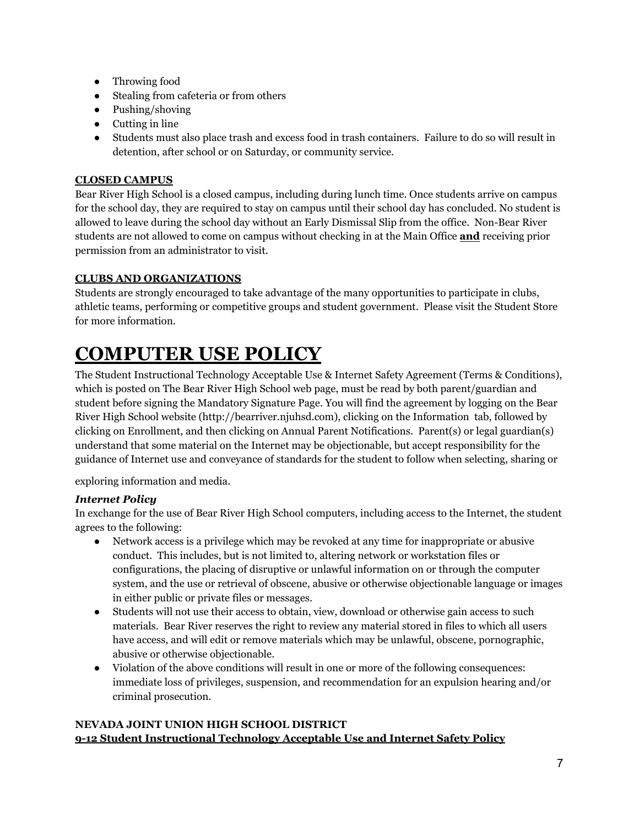- Throwing food
- Stealing from cafeteria or from others
- Pushing/shoving
- Cutting in line
- Students must also place trash and excess food in trash containers. Failure to do so will result in detention, after school or on Saturday, or community service.

# **CLOSED CAMPUS**

Bear River High School is a closed campus, including during lunch time. Once students arrive on campus for the school day, they are required to stay on campus until their school day has concluded. No student is allowed to leave during the school day without an Early Dismissal Slip from the office. Non-Bear River students are not allowed to come on campus without checking in at the Main Office **and** receiving prior permission from an administrator to visit.

# **CLUBS AND ORGANIZATIONS**

Students are strongly encouraged to take advantage of the many opportunities to participate in clubs, athletic teams, performing or competitive groups and student government. Please visit the Student Store for more information.

# **COMPUTER USE POLICY**

The Student Instructional Technology Acceptable Use & Internet Safety Agreement (Terms & Conditions), which is posted on The Bear River High School web page, must be read by both parent/guardian and student before signing the Mandatory Signature Page. You will find the agreement by logging on the Bear River High School website (http://bearriver.njuhsd.com), clicking on the Information tab, followed by clicking on Enrollment, and then clicking on Annual Parent Notifications. Parent(s) or legal guardian(s) understand that some material on the Internet may be objectionable, but accept responsibility for the guidance of Internet use and conveyance of standards for the student to follow when selecting, sharing or

exploring information and media.

# *Internet Policy*

In exchange for the use of Bear River High School computers, including access to the Internet, the student agrees to the following:

- Network access is a privilege which may be revoked at any time for inappropriate or abusive conduct. This includes, but is not limited to, altering network or workstation files or configurations, the placing of disruptive or unlawful information on or through the computer system, and the use or retrieval of obscene, abusive or otherwise objectionable language or images in either public or private files or messages.
- Students will not use their access to obtain, view, download or otherwise gain access to such materials. Bear River reserves the right to review any material stored in files to which all users have access, and will edit or remove materials which may be unlawful, obscene, pornographic, abusive or otherwise objectionable.
- Violation of the above conditions will result in one or more of the following consequences: immediate loss of privileges, suspension, and recommendation for an expulsion hearing and/or criminal prosecution.

# **NEVADA JOINT UNION HIGH SCHOOL DISTRICT 9-12 Student Instructional Technology Acceptable Use and Internet Safety Policy**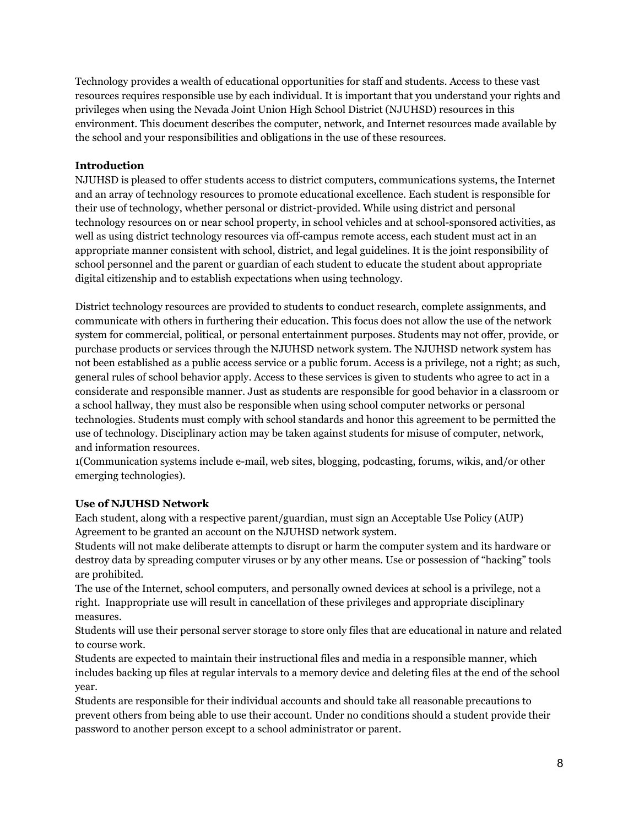Technology provides a wealth of educational opportunities for staff and students. Access to these vast resources requires responsible use by each individual. It is important that you understand your rights and privileges when using the Nevada Joint Union High School District (NJUHSD) resources in this environment. This document describes the computer, network, and Internet resources made available by the school and your responsibilities and obligations in the use of these resources.

#### **Introduction**

NJUHSD is pleased to offer students access to district computers, communications systems, the Internet and an array of technology resources to promote educational excellence. Each student is responsible for their use of technology, whether personal or district-provided. While using district and personal technology resources on or near school property, in school vehicles and at school-sponsored activities, as well as using district technology resources via off-campus remote access, each student must act in an appropriate manner consistent with school, district, and legal guidelines. It is the joint responsibility of school personnel and the parent or guardian of each student to educate the student about appropriate digital citizenship and to establish expectations when using technology.

District technology resources are provided to students to conduct research, complete assignments, and communicate with others in furthering their education. This focus does not allow the use of the network system for commercial, political, or personal entertainment purposes. Students may not offer, provide, or purchase products or services through the NJUHSD network system. The NJUHSD network system has not been established as a public access service or a public forum. Access is a privilege, not a right; as such, general rules of school behavior apply. Access to these services is given to students who agree to act in a considerate and responsible manner. Just as students are responsible for good behavior in a classroom or a school hallway, they must also be responsible when using school computer networks or personal technologies. Students must comply with school standards and honor this agreement to be permitted the use of technology. Disciplinary action may be taken against students for misuse of computer, network, and information resources.

1(Communication systems include e-mail, web sites, blogging, podcasting, forums, wikis, and/or other emerging technologies).

#### **Use of NJUHSD Network**

Each student, along with a respective parent/guardian, must sign an Acceptable Use Policy (AUP) Agreement to be granted an account on the NJUHSD network system.

Students will not make deliberate attempts to disrupt or harm the computer system and its hardware or destroy data by spreading computer viruses or by any other means. Use or possession of "hacking" tools are prohibited.

The use of the Internet, school computers, and personally owned devices at school is a privilege, not a right. Inappropriate use will result in cancellation of these privileges and appropriate disciplinary measures.

Students will use their personal server storage to store only files that are educational in nature and related to course work.

Students are expected to maintain their instructional files and media in a responsible manner, which includes backing up files at regular intervals to a memory device and deleting files at the end of the school year.

Students are responsible for their individual accounts and should take all reasonable precautions to prevent others from being able to use their account. Under no conditions should a student provide their password to another person except to a school administrator or parent.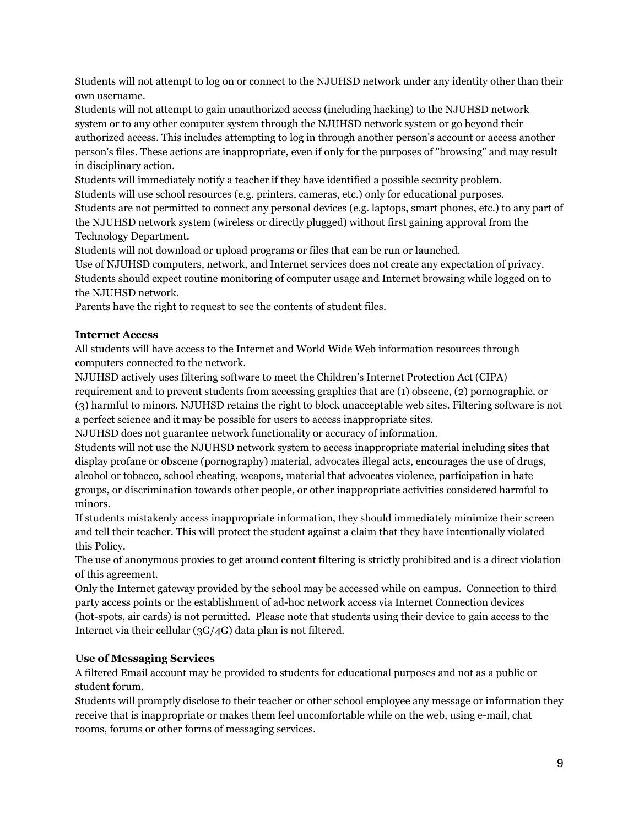Students will not attempt to log on or connect to the NJUHSD network under any identity other than their own username.

Students will not attempt to gain unauthorized access (including hacking) to the NJUHSD network system or to any other computer system through the NJUHSD network system or go beyond their authorized access. This includes attempting to log in through another person's account or access another person's files. These actions are inappropriate, even if only for the purposes of "browsing" and may result in disciplinary action.

Students will immediately notify a teacher if they have identified a possible security problem.

Students will use school resources (e.g. printers, cameras, etc.) only for educational purposes. Students are not permitted to connect any personal devices (e.g. laptops, smart phones, etc.) to any part of

the NJUHSD network system (wireless or directly plugged) without first gaining approval from the Technology Department.

Students will not download or upload programs or files that can be run or launched.

Use of NJUHSD computers, network, and Internet services does not create any expectation of privacy. Students should expect routine monitoring of computer usage and Internet browsing while logged on to the NJUHSD network.

Parents have the right to request to see the contents of student files.

# **Internet Access**

All students will have access to the Internet and World Wide Web information resources through computers connected to the network.

NJUHSD actively uses filtering software to meet the Children's Internet Protection Act (CIPA) requirement and to prevent students from accessing graphics that are (1) obscene, (2) pornographic, or (3) harmful to minors. NJUHSD retains the right to block unacceptable web sites. Filtering software is not a perfect science and it may be possible for users to access inappropriate sites.

NJUHSD does not guarantee network functionality or accuracy of information.

Students will not use the NJUHSD network system to access inappropriate material including sites that display profane or obscene (pornography) material, advocates illegal acts, encourages the use of drugs, alcohol or tobacco, school cheating, weapons, material that advocates violence, participation in hate groups, or discrimination towards other people, or other inappropriate activities considered harmful to minors.

If students mistakenly access inappropriate information, they should immediately minimize their screen and tell their teacher. This will protect the student against a claim that they have intentionally violated this Policy.

The use of anonymous proxies to get around content filtering is strictly prohibited and is a direct violation of this agreement.

Only the Internet gateway provided by the school may be accessed while on campus. Connection to third party access points or the establishment of ad-hoc network access via Internet Connection devices (hot-spots, air cards) is not permitted. Please note that students using their device to gain access to the Internet via their cellular (3G/4G) data plan is not filtered.

# **Use of Messaging Services**

A filtered Email account may be provided to students for educational purposes and not as a public or student forum.

Students will promptly disclose to their teacher or other school employee any message or information they receive that is inappropriate or makes them feel uncomfortable while on the web, using e-mail, chat rooms, forums or other forms of messaging services.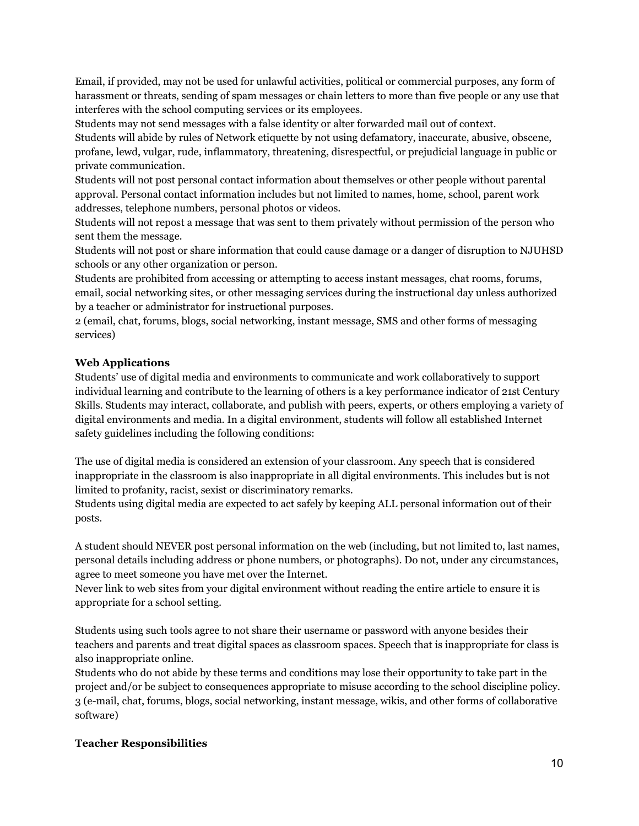Email, if provided, may not be used for unlawful activities, political or commercial purposes, any form of harassment or threats, sending of spam messages or chain letters to more than five people or any use that interferes with the school computing services or its employees.

Students may not send messages with a false identity or alter forwarded mail out of context.

Students will abide by rules of Network etiquette by not using defamatory, inaccurate, abusive, obscene, profane, lewd, vulgar, rude, inflammatory, threatening, disrespectful, or prejudicial language in public or private communication.

Students will not post personal contact information about themselves or other people without parental approval. Personal contact information includes but not limited to names, home, school, parent work addresses, telephone numbers, personal photos or videos.

Students will not repost a message that was sent to them privately without permission of the person who sent them the message.

Students will not post or share information that could cause damage or a danger of disruption to NJUHSD schools or any other organization or person.

Students are prohibited from accessing or attempting to access instant messages, chat rooms, forums, email, social networking sites, or other messaging services during the instructional day unless authorized by a teacher or administrator for instructional purposes.

2 (email, chat, forums, blogs, social networking, instant message, SMS and other forms of messaging services)

# **Web Applications**

Students' use of digital media and environments to communicate and work collaboratively to support individual learning and contribute to the learning of others is a key performance indicator of 21st Century Skills. Students may interact, collaborate, and publish with peers, experts, or others employing a variety of digital environments and media. In a digital environment, students will follow all established Internet safety guidelines including the following conditions:

The use of digital media is considered an extension of your classroom. Any speech that is considered inappropriate in the classroom is also inappropriate in all digital environments. This includes but is not limited to profanity, racist, sexist or discriminatory remarks.

Students using digital media are expected to act safely by keeping ALL personal information out of their posts.

A student should NEVER post personal information on the web (including, but not limited to, last names, personal details including address or phone numbers, or photographs). Do not, under any circumstances, agree to meet someone you have met over the Internet.

Never link to web sites from your digital environment without reading the entire article to ensure it is appropriate for a school setting.

Students using such tools agree to not share their username or password with anyone besides their teachers and parents and treat digital spaces as classroom spaces. Speech that is inappropriate for class is also inappropriate online.

Students who do not abide by these terms and conditions may lose their opportunity to take part in the project and/or be subject to consequences appropriate to misuse according to the school discipline policy. 3 (e-mail, chat, forums, blogs, social networking, instant message, wikis, and other forms of collaborative software)

# **Teacher Responsibilities**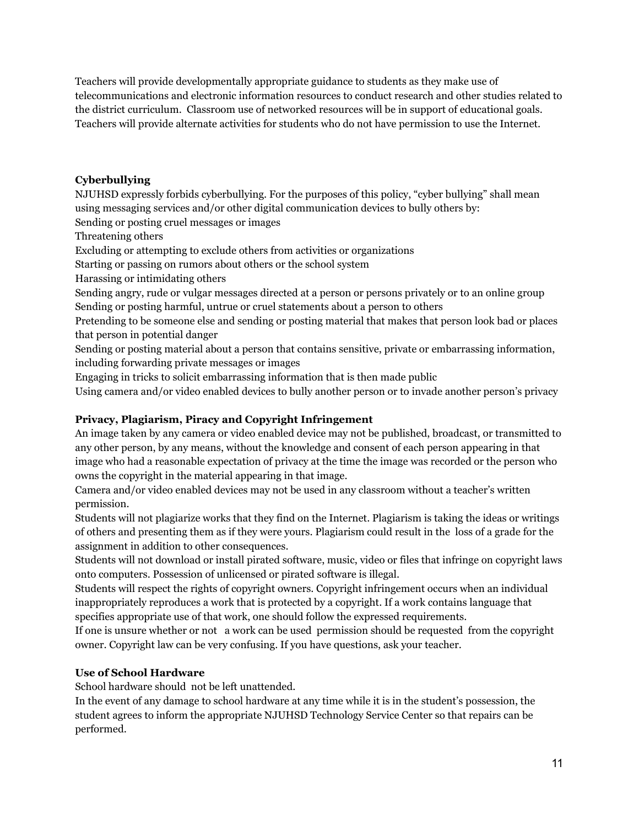Teachers will provide developmentally appropriate guidance to students as they make use of telecommunications and electronic information resources to conduct research and other studies related to the district curriculum. Classroom use of networked resources will be in support of educational goals. Teachers will provide alternate activities for students who do not have permission to use the Internet.

# **Cyberbullying**

NJUHSD expressly forbids cyberbullying. For the purposes of this policy, "cyber bullying" shall mean using messaging services and/or other digital communication devices to bully others by:

Sending or posting cruel messages or images

Threatening others

Excluding or attempting to exclude others from activities or organizations

Starting or passing on rumors about others or the school system

Harassing or intimidating others

Sending angry, rude or vulgar messages directed at a person or persons privately or to an online group Sending or posting harmful, untrue or cruel statements about a person to others

Pretending to be someone else and sending or posting material that makes that person look bad or places that person in potential danger

Sending or posting material about a person that contains sensitive, private or embarrassing information, including forwarding private messages or images

Engaging in tricks to solicit embarrassing information that is then made public

Using camera and/or video enabled devices to bully another person or to invade another person's privacy

# **Privacy, Plagiarism, Piracy and Copyright Infringement**

An image taken by any camera or video enabled device may not be published, broadcast, or transmitted to any other person, by any means, without the knowledge and consent of each person appearing in that image who had a reasonable expectation of privacy at the time the image was recorded or the person who owns the copyright in the material appearing in that image.

Camera and/or video enabled devices may not be used in any classroom without a teacher's written permission.

Students will not plagiarize works that they find on the Internet. Plagiarism is taking the ideas or writings of others and presenting them as if they were yours. Plagiarism could result in the loss of a grade for the assignment in addition to other consequences.

Students will not download or install pirated software, music, video or files that infringe on copyright laws onto computers. Possession of unlicensed or pirated software is illegal.

Students will respect the rights of copyright owners. Copyright infringement occurs when an individual inappropriately reproduces a work that is protected by a copyright. If a work contains language that specifies appropriate use of that work, one should follow the expressed requirements.

If one is unsure whether or not a work can be used permission should be requested from the copyright owner. Copyright law can be very confusing. If you have questions, ask your teacher.

# **Use of School Hardware**

School hardware should not be left unattended.

In the event of any damage to school hardware at any time while it is in the student's possession, the student agrees to inform the appropriate NJUHSD Technology Service Center so that repairs can be performed.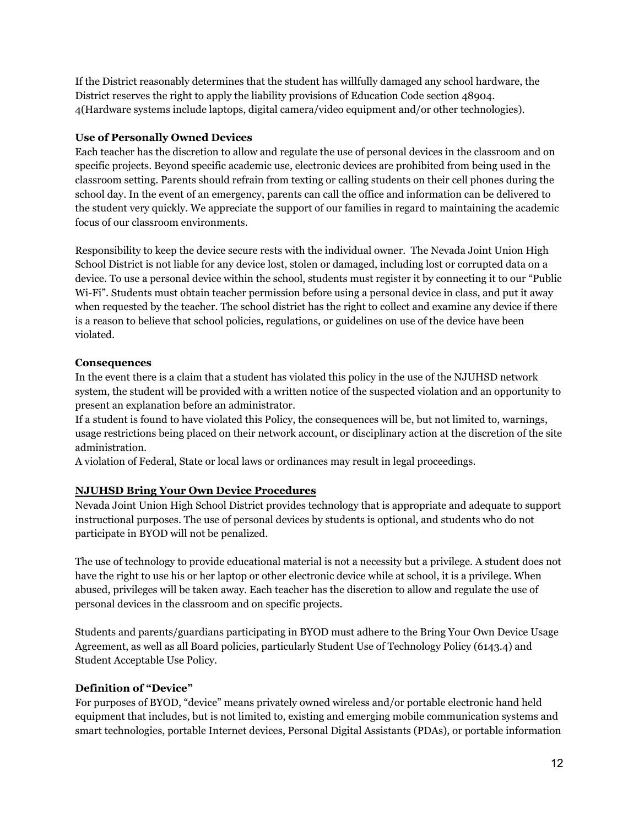If the District reasonably determines that the student has willfully damaged any school hardware, the District reserves the right to apply the liability provisions of Education Code section 48904. 4(Hardware systems include laptops, digital camera/video equipment and/or other technologies).

#### **Use of Personally Owned Devices**

Each teacher has the discretion to allow and regulate the use of personal devices in the classroom and on specific projects. Beyond specific academic use, electronic devices are prohibited from being used in the classroom setting. Parents should refrain from texting or calling students on their cell phones during the school day. In the event of an emergency, parents can call the office and information can be delivered to the student very quickly. We appreciate the support of our families in regard to maintaining the academic focus of our classroom environments.

Responsibility to keep the device secure rests with the individual owner. The Nevada Joint Union High School District is not liable for any device lost, stolen or damaged, including lost or corrupted data on a device. To use a personal device within the school, students must register it by connecting it to our "Public Wi-Fi". Students must obtain teacher permission before using a personal device in class, and put it away when requested by the teacher. The school district has the right to collect and examine any device if there is a reason to believe that school policies, regulations, or guidelines on use of the device have been violated.

#### **Consequences**

In the event there is a claim that a student has violated this policy in the use of the NJUHSD network system, the student will be provided with a written notice of the suspected violation and an opportunity to present an explanation before an administrator.

If a student is found to have violated this Policy, the consequences will be, but not limited to, warnings, usage restrictions being placed on their network account, or disciplinary action at the discretion of the site administration.

A violation of Federal, State or local laws or ordinances may result in legal proceedings.

# **NJUHSD Bring Your Own Device Procedures**

Nevada Joint Union High School District provides technology that is appropriate and adequate to support instructional purposes. The use of personal devices by students is optional, and students who do not participate in BYOD will not be penalized.

The use of technology to provide educational material is not a necessity but a privilege. A student does not have the right to use his or her laptop or other electronic device while at school, it is a privilege. When abused, privileges will be taken away. Each teacher has the discretion to allow and regulate the use of personal devices in the classroom and on specific projects.

Students and parents/guardians participating in BYOD must adhere to the Bring Your Own Device Usage Agreement, as well as all Board policies, particularly Student Use of Technology Policy (6143.4) and Student Acceptable Use Policy.

# **Definition of "Device"**

For purposes of BYOD, "device" means privately owned wireless and/or portable electronic hand held equipment that includes, but is not limited to, existing and emerging mobile communication systems and smart technologies, portable Internet devices, Personal Digital Assistants (PDAs), or portable information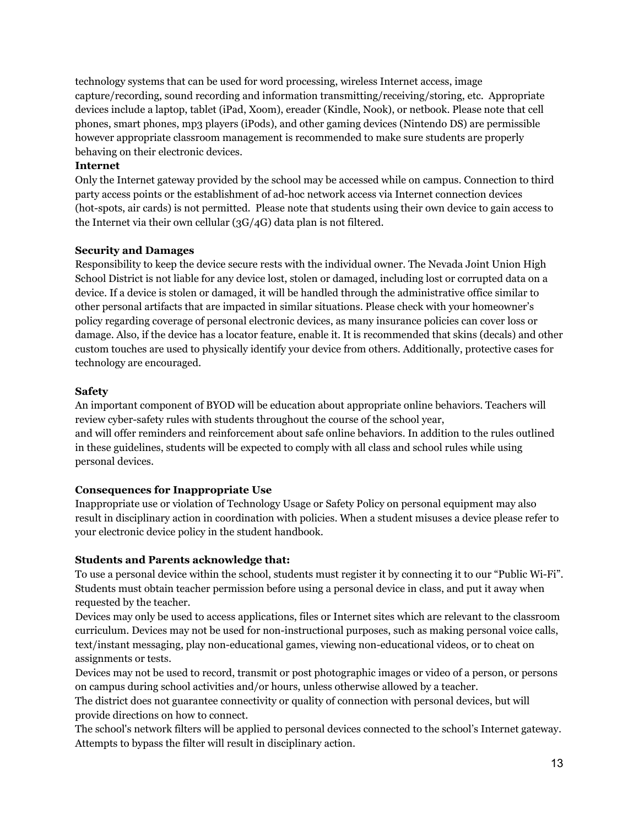technology systems that can be used for word processing, wireless Internet access, image capture/recording, sound recording and information transmitting/receiving/storing, etc. Appropriate devices include a laptop, tablet (iPad, Xoom), ereader (Kindle, Nook), or netbook. Please note that cell phones, smart phones, mp3 players (iPods), and other gaming devices (Nintendo DS) are permissible however appropriate classroom management is recommended to make sure students are properly behaving on their electronic devices.

#### **Internet**

Only the Internet gateway provided by the school may be accessed while on campus. Connection to third party access points or the establishment of ad-hoc network access via Internet connection devices (hot-spots, air cards) is not permitted. Please note that students using their own device to gain access to the Internet via their own cellular (3G/4G) data plan is not filtered.

#### **Security and Damages**

Responsibility to keep the device secure rests with the individual owner. The Nevada Joint Union High School District is not liable for any device lost, stolen or damaged, including lost or corrupted data on a device. If a device is stolen or damaged, it will be handled through the administrative office similar to other personal artifacts that are impacted in similar situations. Please check with your homeowner's policy regarding coverage of personal electronic devices, as many insurance policies can cover loss or damage. Also, if the device has a locator feature, enable it. It is recommended that skins (decals) and other custom touches are used to physically identify your device from others. Additionally, protective cases for technology are encouraged.

#### **Safety**

An important component of BYOD will be education about appropriate online behaviors. Teachers will review cyber-safety rules with students throughout the course of the school year, and will offer reminders and reinforcement about safe online behaviors. In addition to the rules outlined in these guidelines, students will be expected to comply with all class and school rules while using personal devices.

# **Consequences for Inappropriate Use**

Inappropriate use or violation of Technology Usage or Safety Policy on personal equipment may also result in disciplinary action in coordination with policies. When a student misuses a device please refer to your electronic device policy in the student handbook.

# **Students and Parents acknowledge that:**

To use a personal device within the school, students must register it by connecting it to our "Public Wi-Fi". Students must obtain teacher permission before using a personal device in class, and put it away when requested by the teacher.

Devices may only be used to access applications, files or Internet sites which are relevant to the classroom curriculum. Devices may not be used for non-instructional purposes, such as making personal voice calls, text/instant messaging, play non-educational games, viewing non-educational videos, or to cheat on assignments or tests.

Devices may not be used to record, transmit or post photographic images or video of a person, or persons on campus during school activities and/or hours, unless otherwise allowed by a teacher.

The district does not guarantee connectivity or quality of connection with personal devices, but will provide directions on how to connect.

The school's network filters will be applied to personal devices connected to the school's Internet gateway. Attempts to bypass the filter will result in disciplinary action.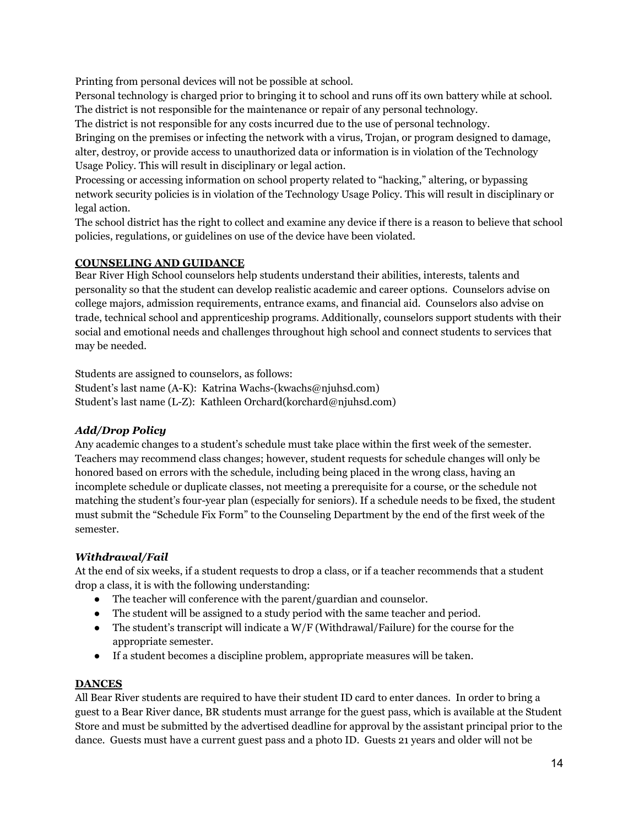Printing from personal devices will not be possible at school.

Personal technology is charged prior to bringing it to school and runs off its own battery while at school. The district is not responsible for the maintenance or repair of any personal technology.

The district is not responsible for any costs incurred due to the use of personal technology.

Bringing on the premises or infecting the network with a virus, Trojan, or program designed to damage, alter, destroy, or provide access to unauthorized data or information is in violation of the Technology Usage Policy. This will result in disciplinary or legal action.

Processing or accessing information on school property related to "hacking," altering, or bypassing network security policies is in violation of the Technology Usage Policy. This will result in disciplinary or legal action.

The school district has the right to collect and examine any device if there is a reason to believe that school policies, regulations, or guidelines on use of the device have been violated.

#### **COUNSELING AND GUIDANCE**

Bear River High School counselors help students understand their abilities, interests, talents and personality so that the student can develop realistic academic and career options. Counselors advise on college majors, admission requirements, entrance exams, and financial aid. Counselors also advise on trade, technical school and apprenticeship programs. Additionally, counselors support students with their social and emotional needs and challenges throughout high school and connect students to services that may be needed.

Students are assigned to counselors, as follows:

Student's last name (A-K): Katrina Wachs-(kwachs@njuhsd.com) Student's last name (L-Z): Kathleen Orchard(korchard@njuhsd.com)

# *Add/Drop Policy*

Any academic changes to a student's schedule must take place within the first week of the semester. Teachers may recommend class changes; however, student requests for schedule changes will only be honored based on errors with the schedule, including being placed in the wrong class, having an incomplete schedule or duplicate classes, not meeting a prerequisite for a course, or the schedule not matching the student's four-year plan (especially for seniors). If a schedule needs to be fixed, the student must submit the "Schedule Fix Form" to the Counseling Department by the end of the first week of the semester.

# *Withdrawal/Fail*

At the end of six weeks, if a student requests to drop a class, or if a teacher recommends that a student drop a class, it is with the following understanding:

- The teacher will conference with the parent/guardian and counselor.
- The student will be assigned to a study period with the same teacher and period.
- The student's transcript will indicate a  $W/F$  (Withdrawal/Failure) for the course for the appropriate semester.
- If a student becomes a discipline problem, appropriate measures will be taken.

#### **DANCES**

All Bear River students are required to have their student ID card to enter dances. In order to bring a guest to a Bear River dance, BR students must arrange for the guest pass, which is available at the Student Store and must be submitted by the advertised deadline for approval by the assistant principal prior to the dance. Guests must have a current guest pass and a photo ID. Guests 21 years and older will not be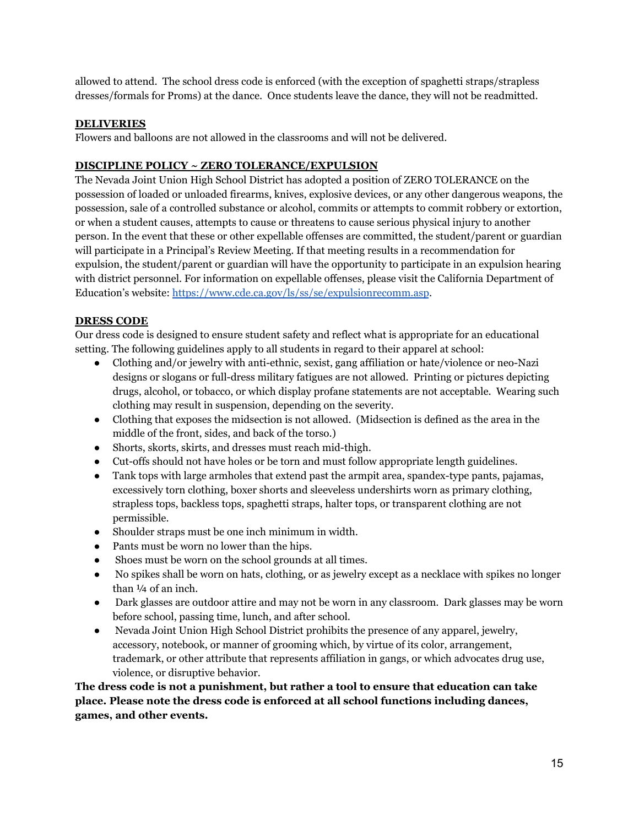allowed to attend. The school dress code is enforced (with the exception of spaghetti straps/strapless dresses/formals for Proms) at the dance. Once students leave the dance, they will not be readmitted.

## **DELIVERIES**

Flowers and balloons are not allowed in the classrooms and will not be delivered.

#### **DISCIPLINE POLICY ~ ZERO TOLERANCE/EXPULSION**

The Nevada Joint Union High School District has adopted a position of ZERO TOLERANCE on the possession of loaded or unloaded firearms, knives, explosive devices, or any other dangerous weapons, the possession, sale of a controlled substance or alcohol, commits or attempts to commit robbery or extortion, or when a student causes, attempts to cause or threatens to cause serious physical injury to another person. In the event that these or other expellable offenses are committed, the student/parent or guardian will participate in a Principal's Review Meeting. If that meeting results in a recommendation for expulsion, the student/parent or guardian will have the opportunity to participate in an expulsion hearing with district personnel. For information on expellable offenses, please visit the California Department of Education's website: <https://www.cde.ca.gov/ls/ss/se/expulsionrecomm.asp>.

# **DRESS CODE**

Our dress code is designed to ensure student safety and reflect what is appropriate for an educational setting. The following guidelines apply to all students in regard to their apparel at school:

- Clothing and/or jewelry with anti-ethnic, sexist, gang affiliation or hate/violence or neo-Nazi designs or slogans or full-dress military fatigues are not allowed. Printing or pictures depicting drugs, alcohol, or tobacco, or which display profane statements are not acceptable. Wearing such clothing may result in suspension, depending on the severity.
- Clothing that exposes the midsection is not allowed. (Midsection is defined as the area in the middle of the front, sides, and back of the torso.)
- Shorts, skorts, skirts, and dresses must reach mid-thigh.
- Cut-offs should not have holes or be torn and must follow appropriate length guidelines.
- Tank tops with large armholes that extend past the armpit area, spandex-type pants, pajamas, excessively torn clothing, boxer shorts and sleeveless undershirts worn as primary clothing, strapless tops, backless tops, spaghetti straps, halter tops, or transparent clothing are not permissible.
- Shoulder straps must be one inch minimum in width.
- Pants must be worn no lower than the hips.
- Shoes must be worn on the school grounds at all times.
- No spikes shall be worn on hats, clothing, or as jewelry except as a necklace with spikes no longer than  $\frac{1}{4}$  of an inch.
- Dark glasses are outdoor attire and may not be worn in any classroom. Dark glasses may be worn before school, passing time, lunch, and after school.
- Nevada Joint Union High School District prohibits the presence of any apparel, jewelry, accessory, notebook, or manner of grooming which, by virtue of its color, arrangement, trademark, or other attribute that represents affiliation in gangs, or which advocates drug use, violence, or disruptive behavior.

# **The dress code is not a punishment, but rather a tool to ensure that education can take place. Please note the dress code is enforced at all school functions including dances, games, and other events.**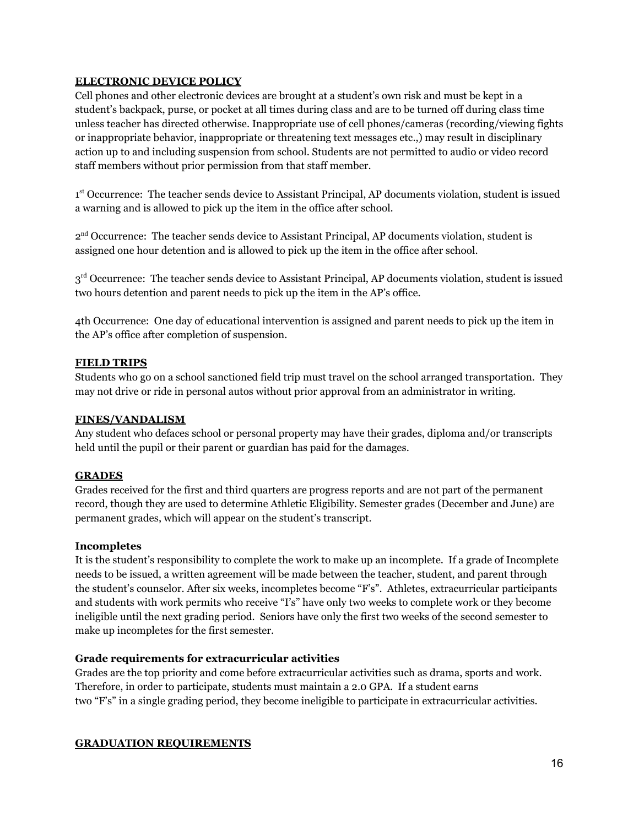#### **ELECTRONIC DEVICE POLICY**

Cell phones and other electronic devices are brought at a student's own risk and must be kept in a student's backpack, purse, or pocket at all times during class and are to be turned off during class time unless teacher has directed otherwise. Inappropriate use of cell phones/cameras (recording/viewing fights or inappropriate behavior, inappropriate or threatening text messages etc.,) may result in disciplinary action up to and including suspension from school. Students are not permitted to audio or video record staff members without prior permission from that staff member.

1<sup>st</sup> Occurrence: The teacher sends device to Assistant Principal, AP documents violation, student is issued a warning and is allowed to pick up the item in the office after school.

2<sup>nd</sup> Occurrence: The teacher sends device to Assistant Principal, AP documents violation, student is assigned one hour detention and is allowed to pick up the item in the office after school.

 $3<sup>rd</sup>$  Occurrence: The teacher sends device to Assistant Principal, AP documents violation, student is issued two hours detention and parent needs to pick up the item in the AP's office.

4th Occurrence: One day of educational intervention is assigned and parent needs to pick up the item in the AP's office after completion of suspension.

#### **FIELD TRIPS**

Students who go on a school sanctioned field trip must travel on the school arranged transportation. They may not drive or ride in personal autos without prior approval from an administrator in writing.

#### **FINES/VANDALISM**

Any student who defaces school or personal property may have their grades, diploma and/or transcripts held until the pupil or their parent or guardian has paid for the damages.

#### **GRADES**

Grades received for the first and third quarters are progress reports and are not part of the permanent record, though they are used to determine Athletic Eligibility. Semester grades (December and June) are permanent grades, which will appear on the student's transcript.

#### **Incompletes**

It is the student's responsibility to complete the work to make up an incomplete. If a grade of Incomplete needs to be issued, a written agreement will be made between the teacher, student, and parent through the student's counselor. After six weeks, incompletes become "F's". Athletes, extracurricular participants and students with work permits who receive "I's" have only two weeks to complete work or they become ineligible until the next grading period. Seniors have only the first two weeks of the second semester to make up incompletes for the first semester.

#### **Grade requirements for extracurricular activities**

Grades are the top priority and come before extracurricular activities such as drama, sports and work. Therefore, in order to participate, students must maintain a 2.0 GPA. If a student earns two "F's" in a single grading period, they become ineligible to participate in extracurricular activities.

#### **GRADUATION REQUIREMENTS**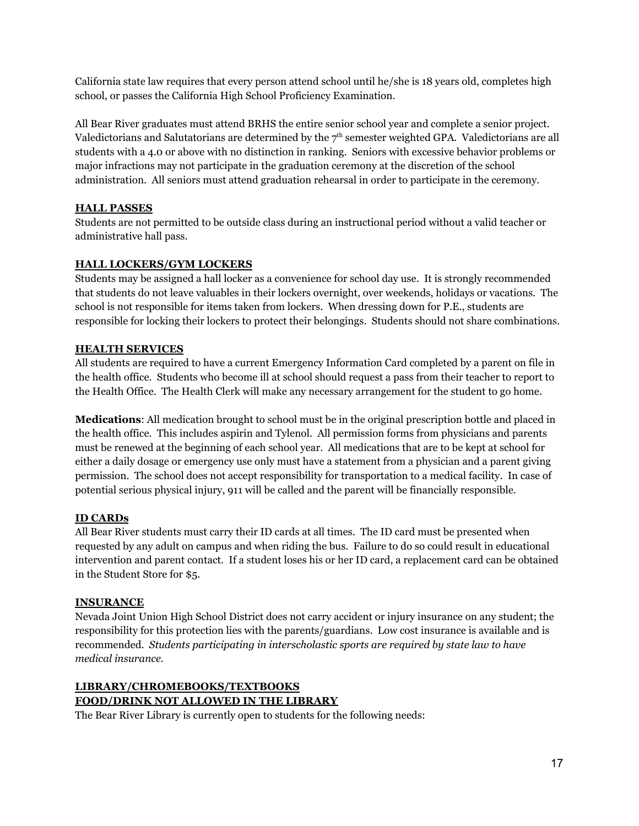California state law requires that every person attend school until he/she is 18 years old, completes high school, or passes the California High School Proficiency Examination.

All Bear River graduates must attend BRHS the entire senior school year and complete a senior project. Valedictorians and Salutatorians are determined by the  $7^{\text{th}}$  semester weighted GPA. Valedictorians are all students with a 4.0 or above with no distinction in ranking. Seniors with excessive behavior problems or major infractions may not participate in the graduation ceremony at the discretion of the school administration. All seniors must attend graduation rehearsal in order to participate in the ceremony.

# **HALL PASSES**

Students are not permitted to be outside class during an instructional period without a valid teacher or administrative hall pass.

# **HALL LOCKERS/GYM LOCKERS**

Students may be assigned a hall locker as a convenience for school day use. It is strongly recommended that students do not leave valuables in their lockers overnight, over weekends, holidays or vacations. The school is not responsible for items taken from lockers. When dressing down for P.E., students are responsible for locking their lockers to protect their belongings. Students should not share combinations.

#### **HEALTH SERVICES**

All students are required to have a current Emergency Information Card completed by a parent on file in the health office. Students who become ill at school should request a pass from their teacher to report to the Health Office. The Health Clerk will make any necessary arrangement for the student to go home.

**Medications**: All medication brought to school must be in the original prescription bottle and placed in the health office. This includes aspirin and Tylenol. All permission forms from physicians and parents must be renewed at the beginning of each school year. All medications that are to be kept at school for either a daily dosage or emergency use only must have a statement from a physician and a parent giving permission. The school does not accept responsibility for transportation to a medical facility. In case of potential serious physical injury, 911 will be called and the parent will be financially responsible.

# **ID CARDs**

All Bear River students must carry their ID cards at all times. The ID card must be presented when requested by any adult on campus and when riding the bus. Failure to do so could result in educational intervention and parent contact. If a student loses his or her ID card, a replacement card can be obtained in the Student Store for \$5.

#### **INSURANCE**

Nevada Joint Union High School District does not carry accident or injury insurance on any student; the responsibility for this protection lies with the parents/guardians. Low cost insurance is available and is recommended. *Students participating in interscholastic sports are required by state law to have medical insurance.*

# **LIBRARY/CHROMEBOOKS/TEXTBOOKS FOOD/DRINK NOT ALLOWED IN THE LIBRARY**

The Bear River Library is currently open to students for the following needs: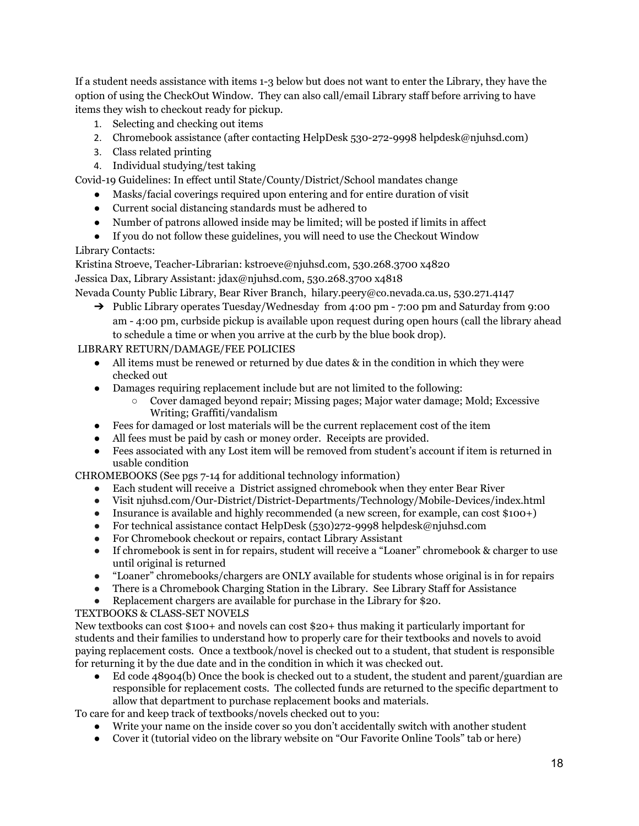If a student needs assistance with items 1-3 below but does not want to enter the Library, they have the option of using the CheckOut Window. They can also call/email Library staff before arriving to have items they wish to checkout ready for pickup.

- 1. Selecting and checking out items
- 2. Chromebook assistance (after contacting HelpDesk 530-272-9998 helpdesk@njuhsd.com)
- 3. Class related printing
- 4. Individual studying/test taking

Covid-19 Guidelines: In effect until State/County/District/School mandates change

- Masks/facial coverings required upon entering and for entire duration of visit
- Current social distancing standards must be adhered to
- Number of patrons allowed inside may be limited; will be posted if limits in affect
- If you do not follow these guidelines, you will need to use the Checkout Window

# Library Contacts:

Kristina Stroeve, Teacher-Librarian: [kstroeve@njuhsd.com,](mailto:kstroeve@njuhsd.com) 530.268.3700 x4820 Jessica Dax, Library Assistant: [jdax@njuhsd.com](mailto:jdax@njuhsd.com), 530.268.3700 x4818

Nevada County Public Library, Bear River Branch, [hilary.peery@co.nevada.ca.us,](mailto:hilary.peery@co.nevada.ca.us) 530.271.4147

➔ Public Library operates Tuesday/Wednesday from 4:00 pm - 7:00 pm and Saturday from 9:00 am - 4:00 pm, curbside pickup is available upon request during open hours (call the library ahead to schedule a time or when you arrive at the curb by the blue book drop).

# LIBRARY RETURN/DAMAGE/FEE POLICIES

- $\bullet$  All items must be renewed or returned by due dates & in the condition in which they were checked out
- Damages requiring replacement include but are not limited to the following:
	- Cover damaged beyond repair; Missing pages; Major water damage; Mold; Excessive Writing; Graffiti/vandalism
- Fees for damaged or lost materials will be the current replacement cost of the item
- All fees must be paid by cash or money order. Receipts are provided.
- Fees associated with any Lost item will be removed from student's account if item is returned in usable condition

CHROMEBOOKS (See pgs 7-14 for additional technology information)

- Each student will receive a District assigned chromebook when they enter Bear River
- Visit njuhsd.com/Our-District/District-Departments/Technology/Mobile-Devices/index.html
- Insurance is available and highly recommended (a new screen, for example, can cost \$100+)
- For technical assistance contact HelpDesk (530)272-9998 [helpdesk@njuhsd.com](mailto:helpdesk@njuhsd.com)
- For Chromebook checkout or repairs, contact Library Assistant
- If chromebook is sent in for repairs, student will receive a "Loaner" chromebook & charger to use until original is returned
- "Loaner" chromebooks/chargers are ONLY available for students whose original is in for repairs<br>• There is a Chromebook Charging Station in the Library. See Library Staff for Assistance
- There is a Chromebook Charging Station in the Library. See Library Staff for Assistance
- Replacement chargers are available for purchase in the Library for \$20.

# TEXTBOOKS & CLASS-SET NOVELS

New textbooks can cost \$100+ and novels can cost \$20+ thus making it particularly important for students and their families to understand how to properly care for their textbooks and novels to avoid paying replacement costs. Once a textbook/novel is checked out to a student, that student is responsible for returning it by the due date and in the condition in which it was checked out.

Ed code 48904(b) Once the book is checked out to a student, the student and parent/guardian are responsible for replacement costs. The collected funds are returned to the specific department to allow that department to purchase replacement books and materials.

To care for and keep track of textbooks/novels checked out to you:

- Write your name on the inside cover so you don't accidentally switch with another student
- Cover it (tutorial video on the library website on "Our Favorite Online Tools" tab or [here\)](https://www.youtube.com/watch?v=I_lYYSDak8s)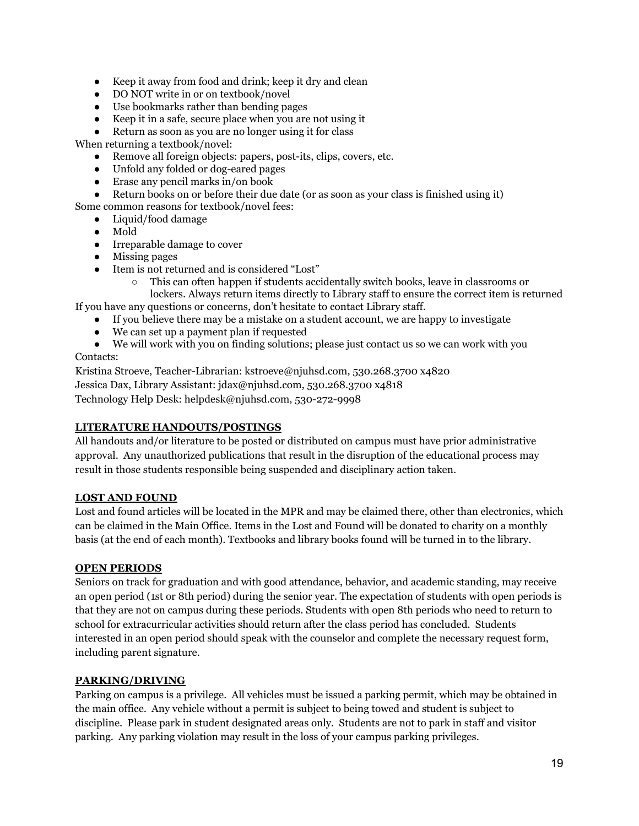- Keep it away from food and drink; keep it dry and clean
- **●** DO NOT write in or on textbook/novel
- Use bookmarks rather than bending pages
- Keep it in a safe, secure place when you are not using it
- Return as soon as you are no longer using it for class

When returning a textbook/novel:

- Remove all foreign objects: papers, post-its, clips, covers, etc.
- Unfold any folded or dog-eared pages
- Erase any pencil marks in/on book
- Return books on or before their due date (or as soon as your class is finished using it)

Some common reasons for textbook/novel fees:

- Liquid/food damage
- Mold
- Irreparable damage to cover
- Missing pages
- Item is not returned and is considered "Lost"
	- This can often happen if students accidentally switch books, leave in classrooms or lockers. Always return items directly to Library staff to ensure the correct item is returned
- If you have any questions or concerns, don't hesitate to contact Library staff.
	- If you believe there may be a mistake on a student account, we are happy to investigate
		- We can set up a payment plan if requested
	- We will work with you on finding solutions; please just contact us so we can work with you

#### Contacts:

Kristina Stroeve, Teacher-Librarian: [kstroeve@njuhsd.com,](mailto:kstroeve@njuhsd.com) 530.268.3700 x4820 Jessica Dax, Library Assistant: [jdax@njuhsd.com](mailto:jdax@njuhsd.com), 530.268.3700 x4818 Technology Help Desk: [helpdesk@njuhsd.com](mailto:helpdesk@njuhsd.com), 530-272-9998

# **LITERATURE HANDOUTS/POSTINGS**

All handouts and/or literature to be posted or distributed on campus must have prior administrative approval. Any unauthorized publications that result in the disruption of the educational process may result in those students responsible being suspended and disciplinary action taken.

# **LOST AND FOUND**

Lost and found articles will be located in the MPR and may be claimed there, other than electronics, which can be claimed in the Main Office. Items in the Lost and Found will be donated to charity on a monthly basis (at the end of each month). Textbooks and library books found will be turned in to the library.

# **OPEN PERIODS**

Seniors on track for graduation and with good attendance, behavior, and academic standing, may receive an open period (1st or 8th period) during the senior year. The expectation of students with open periods is that they are not on campus during these periods. Students with open 8th periods who need to return to school for extracurricular activities should return after the class period has concluded. Students interested in an open period should speak with the counselor and complete the necessary request form, including parent signature.

#### **PARKING/DRIVING**

Parking on campus is a privilege. All vehicles must be issued a parking permit, which may be obtained in the main office. Any vehicle without a permit is subject to being towed and student is subject to discipline. Please park in student designated areas only. Students are not to park in staff and visitor parking. Any parking violation may result in the loss of your campus parking privileges.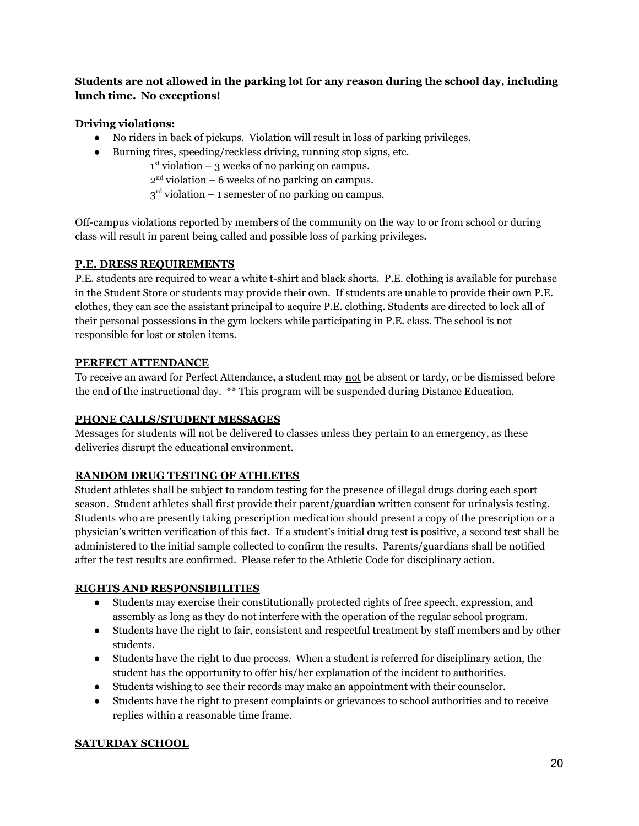# **Students are not allowed in the parking lot for any reason during the school day, including lunch time. No exceptions!**

# **Driving violations:**

- No riders in back of pickups. Violation will result in loss of parking privileges.
- Burning tires, speeding/reckless driving, running stop signs, etc.
	- $1<sup>st</sup>$  violation 3 weeks of no parking on campus.
		- $2<sup>nd</sup>$  violation 6 weeks of no parking on campus.
		- $3<sup>rd</sup>$  violation 1 semester of no parking on campus.

Off-campus violations reported by members of the community on the way to or from school or during class will result in parent being called and possible loss of parking privileges.

# **P.E. DRESS REQUIREMENTS**

P.E. students are required to wear a white t-shirt and black shorts. P.E. clothing is available for purchase in the Student Store or students may provide their own. If students are unable to provide their own P.E. clothes, they can see the assistant principal to acquire P.E. clothing. Students are directed to lock all of their personal possessions in the gym lockers while participating in P.E. class. The school is not responsible for lost or stolen items.

# **PERFECT ATTENDANCE**

To receive an award for Perfect Attendance, a student may not be absent or tardy, or be dismissed before the end of the instructional day. \*\* This program will be suspended during Distance Education.

# **PHONE CALLS/STUDENT MESSAGES**

Messages for students will not be delivered to classes unless they pertain to an emergency, as these deliveries disrupt the educational environment.

# **RANDOM DRUG TESTING OF ATHLETES**

Student athletes shall be subject to random testing for the presence of illegal drugs during each sport season. Student athletes shall first provide their parent/guardian written consent for urinalysis testing. Students who are presently taking prescription medication should present a copy of the prescription or a physician's written verification of this fact. If a student's initial drug test is positive, a second test shall be administered to the initial sample collected to confirm the results. Parents/guardians shall be notified after the test results are confirmed. Please refer to the Athletic Code for disciplinary action.

# **RIGHTS AND RESPONSIBILITIES**

- Students may exercise their constitutionally protected rights of free speech, expression, and assembly as long as they do not interfere with the operation of the regular school program.
- Students have the right to fair, consistent and respectful treatment by staff members and by other students.
- Students have the right to due process. When a student is referred for disciplinary action, the student has the opportunity to offer his/her explanation of the incident to authorities.
- Students wishing to see their records may make an appointment with their counselor.
- Students have the right to present complaints or grievances to school authorities and to receive replies within a reasonable time frame.

# **SATURDAY SCHOOL**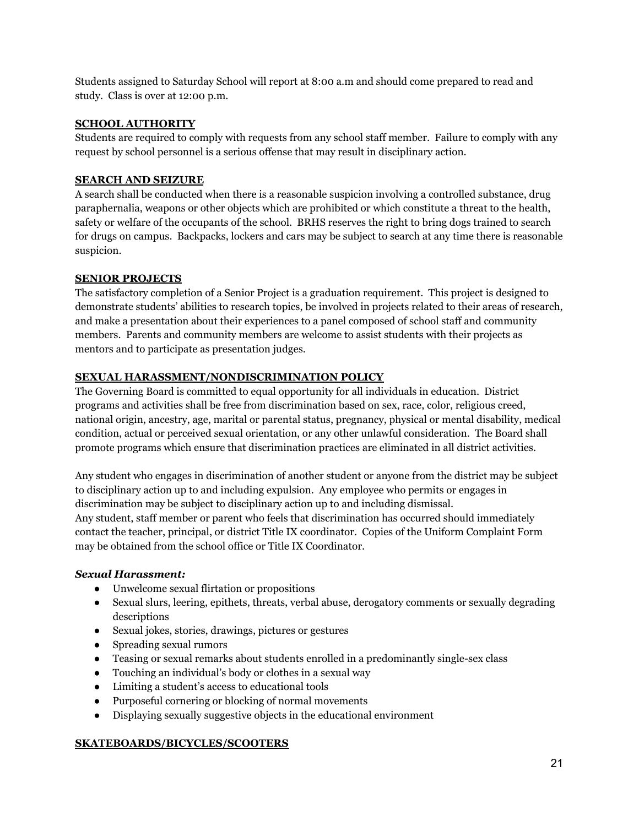Students assigned to Saturday School will report at 8:00 a.m and should come prepared to read and study. Class is over at 12:00 p.m.

#### **SCHOOL AUTHORITY**

Students are required to comply with requests from any school staff member. Failure to comply with any request by school personnel is a serious offense that may result in disciplinary action.

## **SEARCH AND SEIZURE**

A search shall be conducted when there is a reasonable suspicion involving a controlled substance, drug paraphernalia, weapons or other objects which are prohibited or which constitute a threat to the health, safety or welfare of the occupants of the school. BRHS reserves the right to bring dogs trained to search for drugs on campus. Backpacks, lockers and cars may be subject to search at any time there is reasonable suspicion.

# **SENIOR PROJECTS**

The satisfactory completion of a Senior Project is a graduation requirement. This project is designed to demonstrate students' abilities to research topics, be involved in projects related to their areas of research, and make a presentation about their experiences to a panel composed of school staff and community members. Parents and community members are welcome to assist students with their projects as mentors and to participate as presentation judges.

# **SEXUAL HARASSMENT/NONDISCRIMINATION POLICY**

The Governing Board is committed to equal opportunity for all individuals in education. District programs and activities shall be free from discrimination based on sex, race, color, religious creed, national origin, ancestry, age, marital or parental status, pregnancy, physical or mental disability, medical condition, actual or perceived sexual orientation, or any other unlawful consideration. The Board shall promote programs which ensure that discrimination practices are eliminated in all district activities.

Any student who engages in discrimination of another student or anyone from the district may be subject to disciplinary action up to and including expulsion. Any employee who permits or engages in discrimination may be subject to disciplinary action up to and including dismissal. Any student, staff member or parent who feels that discrimination has occurred should immediately contact the teacher, principal, or district Title IX coordinator. Copies of the Uniform Complaint Form may be obtained from the school office or Title IX Coordinator.

#### *Sexual Harassment:*

- Unwelcome sexual flirtation or propositions
- Sexual slurs, leering, epithets, threats, verbal abuse, derogatory comments or sexually degrading descriptions
- Sexual jokes, stories, drawings, pictures or gestures
- Spreading sexual rumors
- Teasing or sexual remarks about students enrolled in a predominantly single-sex class
- Touching an individual's body or clothes in a sexual way
- Limiting a student's access to educational tools
- Purposeful cornering or blocking of normal movements
- Displaying sexually suggestive objects in the educational environment

# **SKATEBOARDS/BICYCLES/SCOOTERS**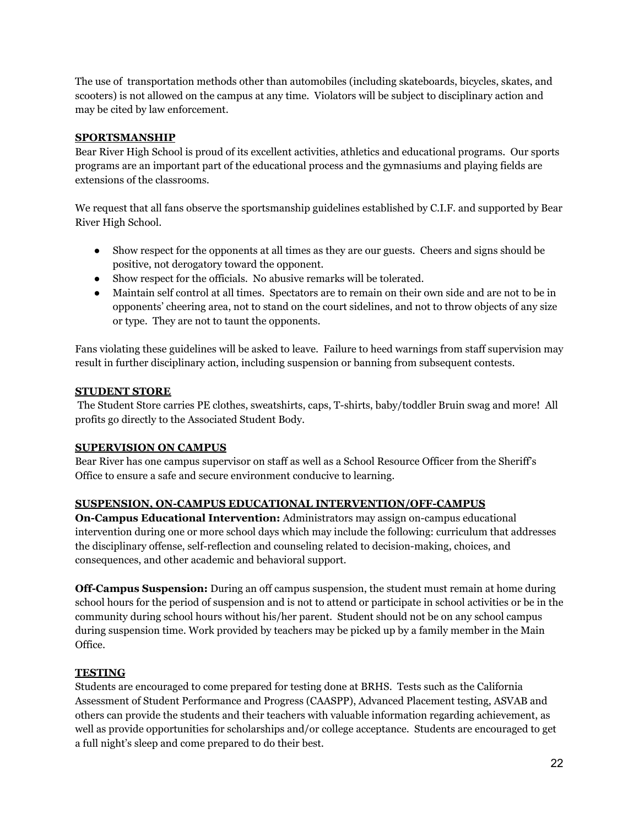The use of transportation methods other than automobiles (including skateboards, bicycles, skates, and scooters) is not allowed on the campus at any time. Violators will be subject to disciplinary action and may be cited by law enforcement.

#### **SPORTSMANSHIP**

Bear River High School is proud of its excellent activities, athletics and educational programs. Our sports programs are an important part of the educational process and the gymnasiums and playing fields are extensions of the classrooms.

We request that all fans observe the sportsmanship guidelines established by C.I.F. and supported by Bear River High School.

- Show respect for the opponents at all times as they are our guests. Cheers and signs should be positive, not derogatory toward the opponent.
- Show respect for the officials. No abusive remarks will be tolerated.
- Maintain self control at all times. Spectators are to remain on their own side and are not to be in opponents' cheering area, not to stand on the court sidelines, and not to throw objects of any size or type. They are not to taunt the opponents.

Fans violating these guidelines will be asked to leave. Failure to heed warnings from staff supervision may result in further disciplinary action, including suspension or banning from subsequent contests.

#### **STUDENT STORE**

The Student Store carries PE clothes, sweatshirts, caps, T-shirts, baby/toddler Bruin swag and more! All profits go directly to the Associated Student Body.

#### **SUPERVISION ON CAMPUS**

Bear River has one campus supervisor on staff as well as a School Resource Officer from the Sheriff's Office to ensure a safe and secure environment conducive to learning.

#### **SUSPENSION, ON-CAMPUS EDUCATIONAL INTERVENTION/OFF-CAMPUS**

**On-Campus Educational Intervention:** Administrators may assign on-campus educational intervention during one or more school days which may include the following: curriculum that addresses the disciplinary offense, self-reflection and counseling related to decision-making, choices, and consequences, and other academic and behavioral support.

**Off-Campus Suspension:** During an off campus suspension, the student must remain at home during school hours for the period of suspension and is not to attend or participate in school activities or be in the community during school hours without his/her parent. Student should not be on any school campus during suspension time. Work provided by teachers may be picked up by a family member in the Main Office.

#### **TESTING**

Students are encouraged to come prepared for testing done at BRHS. Tests such as the California Assessment of Student Performance and Progress (CAASPP), Advanced Placement testing, ASVAB and others can provide the students and their teachers with valuable information regarding achievement, as well as provide opportunities for scholarships and/or college acceptance. Students are encouraged to get a full night's sleep and come prepared to do their best.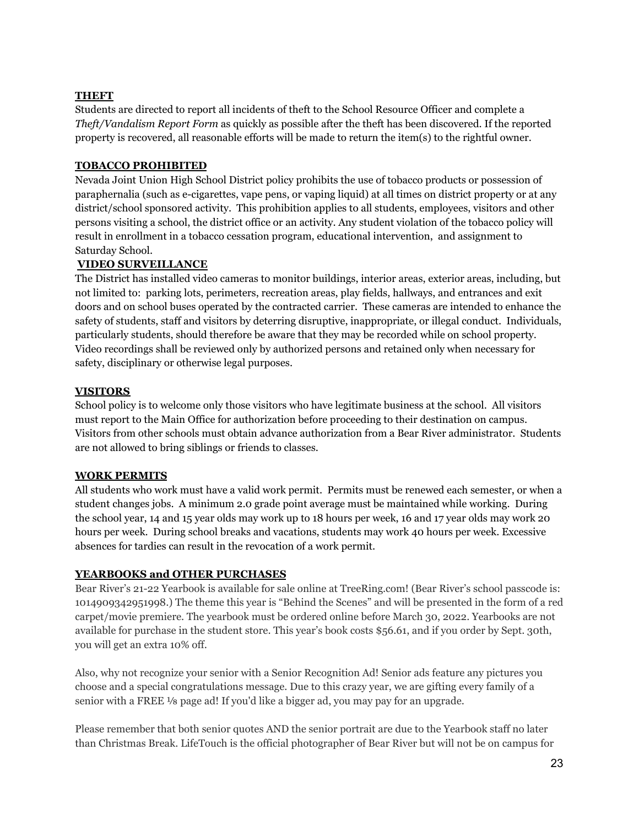#### **THEFT**

Students are directed to report all incidents of theft to the School Resource Officer and complete a *Theft/Vandalism Report Form* as quickly as possible after the theft has been discovered. If the reported property is recovered, all reasonable efforts will be made to return the item(s) to the rightful owner.

## **TOBACCO PROHIBITED**

Nevada Joint Union High School District policy prohibits the use of tobacco products or possession of paraphernalia (such as e-cigarettes, vape pens, or vaping liquid) at all times on district property or at any district/school sponsored activity. This prohibition applies to all students, employees, visitors and other persons visiting a school, the district office or an activity. Any student violation of the tobacco policy will result in enrollment in a tobacco cessation program, educational intervention, and assignment to Saturday School.

#### **VIDEO SURVEILLANCE**

The District has installed video cameras to monitor buildings, interior areas, exterior areas, including, but not limited to: parking lots, perimeters, recreation areas, play fields, hallways, and entrances and exit doors and on school buses operated by the contracted carrier. These cameras are intended to enhance the safety of students, staff and visitors by deterring disruptive, inappropriate, or illegal conduct. Individuals, particularly students, should therefore be aware that they may be recorded while on school property. Video recordings shall be reviewed only by authorized persons and retained only when necessary for safety, disciplinary or otherwise legal purposes.

#### **VISITORS**

School policy is to welcome only those visitors who have legitimate business at the school. All visitors must report to the Main Office for authorization before proceeding to their destination on campus. Visitors from other schools must obtain advance authorization from a Bear River administrator. Students are not allowed to bring siblings or friends to classes.

#### **WORK PERMITS**

All students who work must have a valid work permit. Permits must be renewed each semester, or when a student changes jobs. A minimum 2.0 grade point average must be maintained while working. During the school year, 14 and 15 year olds may work up to 18 hours per week, 16 and 17 year olds may work 20 hours per week. During school breaks and vacations, students may work 40 hours per week. Excessive absences for tardies can result in the revocation of a work permit.

#### **YEARBOOKS and OTHER PURCHASES**

Bear River's 21-22 Yearbook is available for sale online at TreeRing.com! (Bear River's school passcode is: 1014909342951998.) The theme this year is "Behind the Scenes" and will be presented in the form of a red carpet/movie premiere. The yearbook must be ordered online before March 30, 2022. Yearbooks are not available for purchase in the student store. This year's book costs \$56.61, and if you order by Sept. 30th, you will get an extra 10% off.

Also, why not recognize your senior with a Senior Recognition Ad! Senior ads feature any pictures you choose and a special congratulations message. Due to this crazy year, we are gifting every family of a senior with a FREE ⅛ page ad! If you'd like a bigger ad, you may pay for an upgrade.

Please remember that both senior quotes AND the senior portrait are due to the Yearbook staff no later than Christmas Break. LifeTouch is the official photographer of Bear River but will not be on campus for